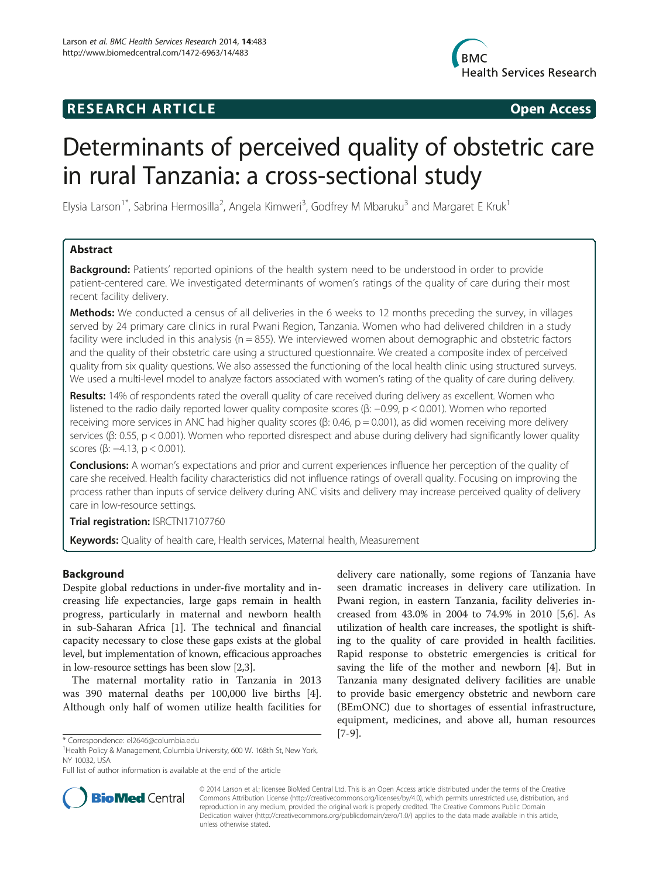# **RESEARCH ARTICLE Example 2018 CONSIDERING CONSIDERING CONSIDERING CONSIDERING CONSIDERING CONSIDERING CONSIDERING CONSIDERING CONSIDERING CONSIDERING CONSIDERING CONSIDERING CONSIDERING CONSIDERING CONSIDERING CONSIDE**



# Determinants of perceived quality of obstetric care in rural Tanzania: a cross-sectional study

Elysia Larson<sup>1\*</sup>, Sabrina Hermosilla<sup>2</sup>, Angela Kimweri<sup>3</sup>, Godfrey M Mbaruku<sup>3</sup> and Margaret E Kruk<sup>1</sup>

# Abstract

**Background:** Patients' reported opinions of the health system need to be understood in order to provide patient-centered care. We investigated determinants of women's ratings of the quality of care during their most recent facility delivery.

Methods: We conducted a census of all deliveries in the 6 weeks to 12 months preceding the survey, in villages served by 24 primary care clinics in rural Pwani Region, Tanzania. Women who had delivered children in a study facility were included in this analysis (n = 855). We interviewed women about demographic and obstetric factors and the quality of their obstetric care using a structured questionnaire. We created a composite index of perceived quality from six quality questions. We also assessed the functioning of the local health clinic using structured surveys. We used a multi-level model to analyze factors associated with women's rating of the quality of care during delivery.

Results: 14% of respondents rated the overall quality of care received during delivery as excellent. Women who listened to the radio daily reported lower quality composite scores (β: −0.99, p < 0.001). Women who reported receiving more services in ANC had higher quality scores (β: 0.46,  $p = 0.001$ ), as did women receiving more delivery services (β: 0.55, p < 0.001). Women who reported disrespect and abuse during delivery had significantly lower quality scores (β: -4.13, p < 0.001).

Conclusions: A woman's expectations and prior and current experiences influence her perception of the quality of care she received. Health facility characteristics did not influence ratings of overall quality. Focusing on improving the process rather than inputs of service delivery during ANC visits and delivery may increase perceived quality of delivery care in low-resource settings.

Trial registration: [ISRCTN17107760](http://www.controlled-trials.com/isrctn/pf/17107760)

Keywords: Quality of health care, Health services, Maternal health, Measurement

# Background

Despite global reductions in under-five mortality and increasing life expectancies, large gaps remain in health progress, particularly in maternal and newborn health in sub-Saharan Africa [[1\]](#page-7-0). The technical and financial capacity necessary to close these gaps exists at the global level, but implementation of known, efficacious approaches in low-resource settings has been slow [\[2,3\]](#page-7-0).

The maternal mortality ratio in Tanzania in 2013 was 390 maternal deaths per 100,000 live births [\[4](#page-7-0)]. Although only half of women utilize health facilities for delivery care nationally, some regions of Tanzania have seen dramatic increases in delivery care utilization. In Pwani region, in eastern Tanzania, facility deliveries increased from 43.0% in 2004 to 74.9% in 2010 [\[5,6](#page-7-0)]. As utilization of health care increases, the spotlight is shifting to the quality of care provided in health facilities. Rapid response to obstetric emergencies is critical for saving the life of the mother and newborn [[4\]](#page-7-0). But in Tanzania many designated delivery facilities are unable to provide basic emergency obstetric and newborn care (BEmONC) due to shortages of essential infrastructure, equipment, medicines, and above all, human resources



© 2014 Larson et al.; licensee BioMed Central Ltd. This is an Open Access article distributed under the terms of the Creative Commons Attribution License [\(http://creativecommons.org/licenses/by/4.0\)](http://creativecommons.org/licenses/by/4.0), which permits unrestricted use, distribution, and reproduction in any medium, provided the original work is properly credited. The Creative Commons Public Domain Dedication waiver [\(http://creativecommons.org/publicdomain/zero/1.0/](http://creativecommons.org/publicdomain/zero/1.0/)) applies to the data made available in this article, unless otherwise stated.

<sup>[</sup>[7-9](#page-7-0)]. \* Correspondence: [el2646@columbia.edu](mailto:el2646@columbia.edu) <sup>1</sup>

<sup>&</sup>lt;sup>1</sup> Health Policy & Management, Columbia University, 600 W. 168th St, New York, NY 10032, USA

Full list of author information is available at the end of the article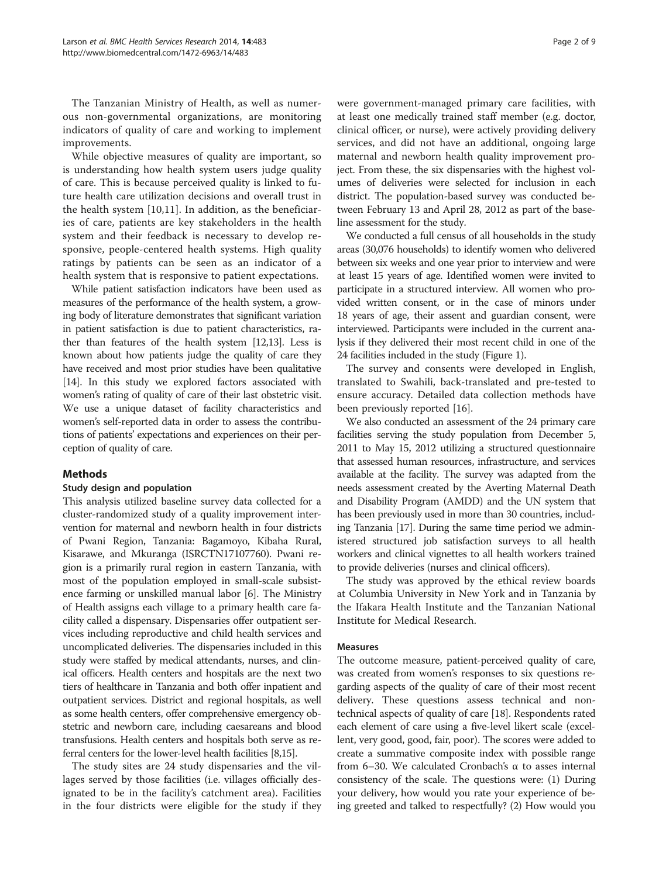The Tanzanian Ministry of Health, as well as numerous non-governmental organizations, are monitoring indicators of quality of care and working to implement improvements.

While objective measures of quality are important, so is understanding how health system users judge quality of care. This is because perceived quality is linked to future health care utilization decisions and overall trust in the health system [\[10](#page-7-0),[11\]](#page-7-0). In addition, as the beneficiaries of care, patients are key stakeholders in the health system and their feedback is necessary to develop responsive, people-centered health systems. High quality ratings by patients can be seen as an indicator of a health system that is responsive to patient expectations.

While patient satisfaction indicators have been used as measures of the performance of the health system, a growing body of literature demonstrates that significant variation in patient satisfaction is due to patient characteristics, rather than features of the health system [\[12,13](#page-7-0)]. Less is known about how patients judge the quality of care they have received and most prior studies have been qualitative [[14](#page-7-0)]. In this study we explored factors associated with women's rating of quality of care of their last obstetric visit. We use a unique dataset of facility characteristics and women's self-reported data in order to assess the contributions of patients' expectations and experiences on their perception of quality of care.

# Methods

# Study design and population

This analysis utilized baseline survey data collected for a cluster-randomized study of a quality improvement intervention for maternal and newborn health in four districts of Pwani Region, Tanzania: Bagamoyo, Kibaha Rural, Kisarawe, and Mkuranga (ISRCTN17107760). Pwani region is a primarily rural region in eastern Tanzania, with most of the population employed in small-scale subsistence farming or unskilled manual labor [\[6\]](#page-7-0). The Ministry of Health assigns each village to a primary health care facility called a dispensary. Dispensaries offer outpatient services including reproductive and child health services and uncomplicated deliveries. The dispensaries included in this study were staffed by medical attendants, nurses, and clinical officers. Health centers and hospitals are the next two tiers of healthcare in Tanzania and both offer inpatient and outpatient services. District and regional hospitals, as well as some health centers, offer comprehensive emergency obstetric and newborn care, including caesareans and blood transfusions. Health centers and hospitals both serve as referral centers for the lower-level health facilities [[8,15\]](#page-7-0).

The study sites are 24 study dispensaries and the villages served by those facilities (i.e. villages officially designated to be in the facility's catchment area). Facilities in the four districts were eligible for the study if they

were government-managed primary care facilities, with at least one medically trained staff member (e.g. doctor, clinical officer, or nurse), were actively providing delivery services, and did not have an additional, ongoing large maternal and newborn health quality improvement project. From these, the six dispensaries with the highest volumes of deliveries were selected for inclusion in each district. The population-based survey was conducted between February 13 and April 28, 2012 as part of the baseline assessment for the study.

We conducted a full census of all households in the study areas (30,076 households) to identify women who delivered between six weeks and one year prior to interview and were at least 15 years of age. Identified women were invited to participate in a structured interview. All women who provided written consent, or in the case of minors under 18 years of age, their assent and guardian consent, were interviewed. Participants were included in the current analysis if they delivered their most recent child in one of the 24 facilities included in the study (Figure [1\)](#page-2-0).

The survey and consents were developed in English, translated to Swahili, back-translated and pre-tested to ensure accuracy. Detailed data collection methods have been previously reported [[16](#page-7-0)].

We also conducted an assessment of the 24 primary care facilities serving the study population from December 5, 2011 to May 15, 2012 utilizing a structured questionnaire that assessed human resources, infrastructure, and services available at the facility. The survey was adapted from the needs assessment created by the Averting Maternal Death and Disability Program (AMDD) and the UN system that has been previously used in more than 30 countries, including Tanzania [\[17](#page-7-0)]. During the same time period we administered structured job satisfaction surveys to all health workers and clinical vignettes to all health workers trained to provide deliveries (nurses and clinical officers).

The study was approved by the ethical review boards at Columbia University in New York and in Tanzania by the Ifakara Health Institute and the Tanzanian National Institute for Medical Research.

#### Measures

The outcome measure, patient-perceived quality of care, was created from women's responses to six questions regarding aspects of the quality of care of their most recent delivery. These questions assess technical and nontechnical aspects of quality of care [\[18\]](#page-7-0). Respondents rated each element of care using a five-level likert scale (excellent, very good, good, fair, poor). The scores were added to create a summative composite index with possible range from 6–30. We calculated Cronbach's α to asses internal consistency of the scale. The questions were: (1) During your delivery, how would you rate your experience of being greeted and talked to respectfully? (2) How would you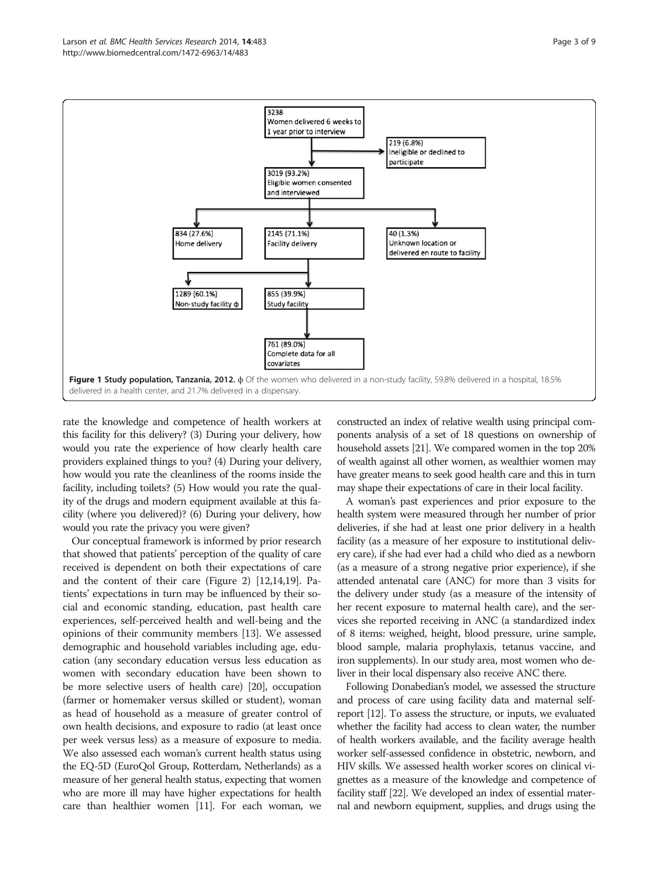<span id="page-2-0"></span>

rate the knowledge and competence of health workers at this facility for this delivery? (3) During your delivery, how would you rate the experience of how clearly health care providers explained things to you? (4) During your delivery, how would you rate the cleanliness of the rooms inside the facility, including toilets? (5) How would you rate the quality of the drugs and modern equipment available at this facility (where you delivered)? (6) During your delivery, how would you rate the privacy you were given?

Our conceptual framework is informed by prior research that showed that patients' perception of the quality of care received is dependent on both their expectations of care and the content of their care (Figure [2\)](#page-3-0) [\[12,14,19](#page-7-0)]. Patients' expectations in turn may be influenced by their social and economic standing, education, past health care experiences, self-perceived health and well-being and the opinions of their community members [\[13](#page-7-0)]. We assessed demographic and household variables including age, education (any secondary education versus less education as women with secondary education have been shown to be more selective users of health care) [\[20\]](#page-7-0), occupation (farmer or homemaker versus skilled or student), woman as head of household as a measure of greater control of own health decisions, and exposure to radio (at least once per week versus less) as a measure of exposure to media. We also assessed each woman's current health status using the EQ-5D (EuroQol Group, Rotterdam, Netherlands) as a measure of her general health status, expecting that women who are more ill may have higher expectations for health care than healthier women [[11](#page-7-0)]. For each woman, we

constructed an index of relative wealth using principal components analysis of a set of 18 questions on ownership of household assets [\[21\]](#page-7-0). We compared women in the top 20% of wealth against all other women, as wealthier women may have greater means to seek good health care and this in turn may shape their expectations of care in their local facility.

A woman's past experiences and prior exposure to the health system were measured through her number of prior deliveries, if she had at least one prior delivery in a health facility (as a measure of her exposure to institutional delivery care), if she had ever had a child who died as a newborn (as a measure of a strong negative prior experience), if she attended antenatal care (ANC) for more than 3 visits for the delivery under study (as a measure of the intensity of her recent exposure to maternal health care), and the services she reported receiving in ANC (a standardized index of 8 items: weighed, height, blood pressure, urine sample, blood sample, malaria prophylaxis, tetanus vaccine, and iron supplements). In our study area, most women who deliver in their local dispensary also receive ANC there.

Following Donabedian's model, we assessed the structure and process of care using facility data and maternal selfreport [[12](#page-7-0)]. To assess the structure, or inputs, we evaluated whether the facility had access to clean water, the number of health workers available, and the facility average health worker self-assessed confidence in obstetric, newborn, and HIV skills. We assessed health worker scores on clinical vignettes as a measure of the knowledge and competence of facility staff [[22](#page-8-0)]. We developed an index of essential maternal and newborn equipment, supplies, and drugs using the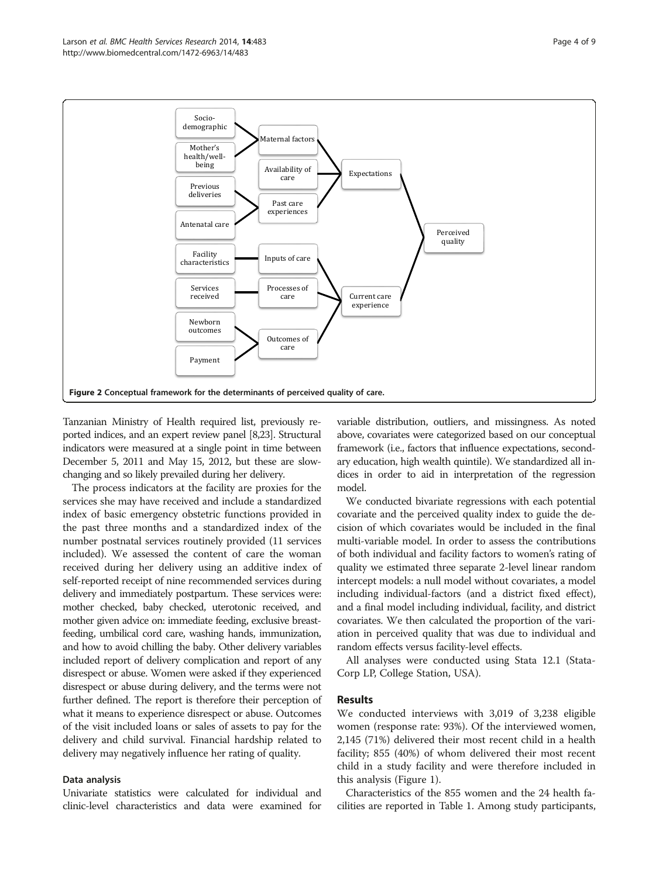<span id="page-3-0"></span>

Tanzanian Ministry of Health required list, previously reported indices, and an expert review panel [\[8,](#page-7-0)[23](#page-8-0)]. Structural indicators were measured at a single point in time between December 5, 2011 and May 15, 2012, but these are slowchanging and so likely prevailed during her delivery.

The process indicators at the facility are proxies for the services she may have received and include a standardized index of basic emergency obstetric functions provided in the past three months and a standardized index of the number postnatal services routinely provided (11 services included). We assessed the content of care the woman received during her delivery using an additive index of self-reported receipt of nine recommended services during delivery and immediately postpartum. These services were: mother checked, baby checked, uterotonic received, and mother given advice on: immediate feeding, exclusive breastfeeding, umbilical cord care, washing hands, immunization, and how to avoid chilling the baby. Other delivery variables included report of delivery complication and report of any disrespect or abuse. Women were asked if they experienced disrespect or abuse during delivery, and the terms were not further defined. The report is therefore their perception of what it means to experience disrespect or abuse. Outcomes of the visit included loans or sales of assets to pay for the delivery and child survival. Financial hardship related to delivery may negatively influence her rating of quality.

# Data analysis

Univariate statistics were calculated for individual and clinic-level characteristics and data were examined for variable distribution, outliers, and missingness. As noted above, covariates were categorized based on our conceptual framework (i.e., factors that influence expectations, secondary education, high wealth quintile). We standardized all indices in order to aid in interpretation of the regression model.

We conducted bivariate regressions with each potential covariate and the perceived quality index to guide the decision of which covariates would be included in the final multi-variable model. In order to assess the contributions of both individual and facility factors to women's rating of quality we estimated three separate 2-level linear random intercept models: a null model without covariates, a model including individual-factors (and a district fixed effect), and a final model including individual, facility, and district covariates. We then calculated the proportion of the variation in perceived quality that was due to individual and random effects versus facility-level effects.

All analyses were conducted using Stata 12.1 (Stata-Corp LP, College Station, USA).

## Results

We conducted interviews with 3,019 of 3,238 eligible women (response rate: 93%). Of the interviewed women, 2,145 (71%) delivered their most recent child in a health facility; 855 (40%) of whom delivered their most recent child in a study facility and were therefore included in this analysis (Figure [1\)](#page-2-0).

Characteristics of the 855 women and the 24 health facilities are reported in Table [1](#page-4-0). Among study participants,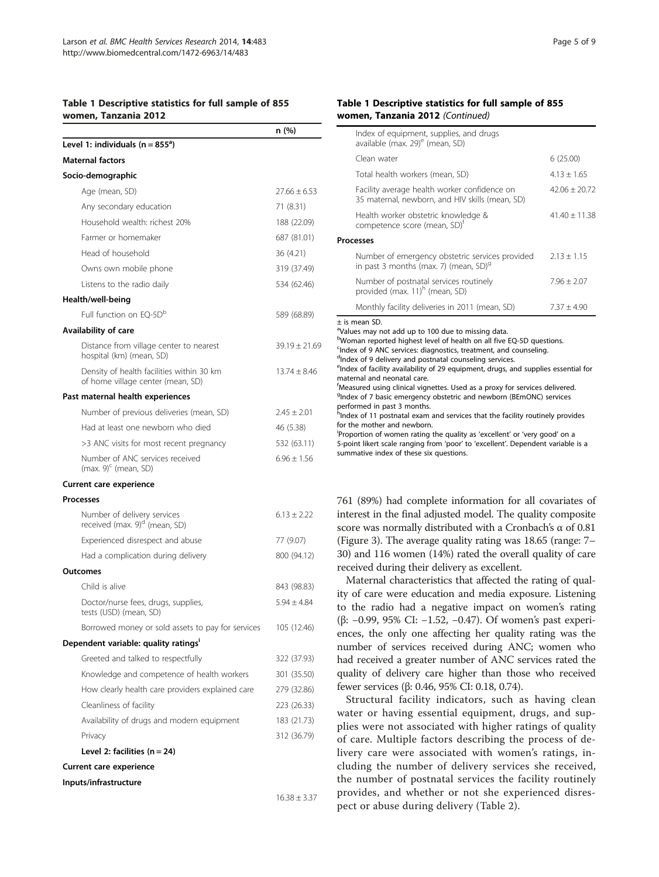#### <span id="page-4-0"></span>Table 1 Descriptive statistics for full sample of 855  $\sim$  2012

|                                                                                | n (%)            |
|--------------------------------------------------------------------------------|------------------|
| Level 1: individuals ( $n = 855^a$ )                                           |                  |
| <b>Maternal factors</b>                                                        |                  |
| Socio-demographic                                                              |                  |
| Age (mean, SD)                                                                 | $27.66 \pm 6.53$ |
| Any secondary education                                                        | 71 (8.31)        |
| Household wealth: richest 20%                                                  | 188 (22.09)      |
| Farmer or homemaker                                                            | 687 (81.01)      |
| Head of household                                                              | 36 (4.21)        |
| Owns own mobile phone                                                          | 319 (37.49)      |
| Listens to the radio daily                                                     | 534 (62.46)      |
| Health/well-being                                                              |                  |
| Full function on EO-5D <sup>b</sup>                                            | 589 (68.89)      |
| Availability of care                                                           |                  |
| Distance from village center to nearest<br>hospital (km) (mean, SD)            | $39.19 + 21.69$  |
| Density of health facilities within 30 km<br>of home village center (mean, SD) | $13.74 \pm 8.46$ |
| Past maternal health experiences                                               |                  |
| Number of previous deliveries (mean, SD)                                       | $7.45 + 7.01$    |
| Had at least one newborn who died                                              | 46 (5.38)        |
| >3 ANC visits for most recent pregnancy                                        | 532 (63.11)      |
| Number of ANC services received<br>(max. $9)^c$ (mean, SD)                     | $6.96 \pm 1.56$  |
| <b>Current care experience</b>                                                 |                  |
| <b>Processes</b>                                                               |                  |
| Number of delivery services<br>received (max. 9) <sup>d'</sup> (mean, SD)      | $6.13 \pm 2.22$  |
| Experienced disrespect and abuse                                               | 77 (9.07)        |
| Had a complication during delivery                                             | 800 (94.12)      |
| Outcomes                                                                       |                  |
| Child is alive                                                                 | 843 (98.83)      |
| Doctor/nurse fees, drugs, supplies,<br>tests (USD) (mean, SD)                  | $5.94 + 4.84$    |
| Borrowed money or sold assets to pay for services                              | 105 (12.46)      |
| Dependent variable: quality ratings <sup>i</sup>                               |                  |
| Greeted and talked to respectfully                                             | 322 (37.93)      |
| Knowledge and competence of health workers                                     | 301 (35.50)      |
| How clearly health care providers explained care                               | 279 (32.86)      |
| Cleanliness of facility                                                        | 223 (26.33)      |
| Availability of drugs and modern equipment                                     | 183 (21.73)      |
| Privacy                                                                        | 312 (36.79)      |
| Level 2: facilities $(n = 24)$                                                 |                  |
| <b>Current care experience</b>                                                 |                  |
| Inputs/infrastructure                                                          |                  |
|                                                                                | $16.38 \pm 3.37$ |

# Table 1 Descriptive statistics for full sample of 855 women, Tanzania 2012 (Continued)

| Index of equipment, supplies, and drugs<br>available (max. 29) <sup>e</sup> (mean, SD)                                                                                                                                                                                                                                                                                                                                                                                                                                                                                                                                                                                                                                                                                                                                                                |                                                                                                     |
|-------------------------------------------------------------------------------------------------------------------------------------------------------------------------------------------------------------------------------------------------------------------------------------------------------------------------------------------------------------------------------------------------------------------------------------------------------------------------------------------------------------------------------------------------------------------------------------------------------------------------------------------------------------------------------------------------------------------------------------------------------------------------------------------------------------------------------------------------------|-----------------------------------------------------------------------------------------------------|
| Clean water                                                                                                                                                                                                                                                                                                                                                                                                                                                                                                                                                                                                                                                                                                                                                                                                                                           | 6(25.00)                                                                                            |
| Total health workers (mean, SD)                                                                                                                                                                                                                                                                                                                                                                                                                                                                                                                                                                                                                                                                                                                                                                                                                       | $4.13 \pm 1.65$                                                                                     |
| Facility average health worker confidence on<br>35 maternal, newborn, and HIV skills (mean, SD)                                                                                                                                                                                                                                                                                                                                                                                                                                                                                                                                                                                                                                                                                                                                                       | $42.06 + 20.72$                                                                                     |
| Health worker obstetric knowledge &<br>competence score (mean, SD) <sup>f</sup>                                                                                                                                                                                                                                                                                                                                                                                                                                                                                                                                                                                                                                                                                                                                                                       | $41.40 + 11.38$                                                                                     |
| <b>Processes</b>                                                                                                                                                                                                                                                                                                                                                                                                                                                                                                                                                                                                                                                                                                                                                                                                                                      |                                                                                                     |
| Number of emergency obstetric services provided<br>in past 3 months (max. 7) (mean, SD) <sup>9</sup>                                                                                                                                                                                                                                                                                                                                                                                                                                                                                                                                                                                                                                                                                                                                                  | $2.13 + 1.15$                                                                                       |
| Number of postnatal services routinely<br>provided (max. 11) <sup>h</sup> (mean, SD)                                                                                                                                                                                                                                                                                                                                                                                                                                                                                                                                                                                                                                                                                                                                                                  | $7.96 + 2.07$                                                                                       |
| Monthly facility deliveries in 2011 (mean, SD)                                                                                                                                                                                                                                                                                                                                                                                                                                                                                                                                                                                                                                                                                                                                                                                                        | $7.37 + 4.90$                                                                                       |
| <sup>a</sup> Values may not add up to 100 due to missing data.<br><sup>b</sup> Woman reported highest level of health on all five EQ-5D questions.<br><sup>c</sup> Index of 9 ANC services: diagnostics, treatment, and counseling.<br><sup>d</sup> Index of 9 delivery and postnatal counseling services.<br><sup>e</sup> Index of facility availability of 29 equipment, drugs, and supplies essential for<br>maternal and neonatal care.<br><sup>f</sup> Measured using clinical vignettes. Used as a proxy for services delivered.<br><sup>9</sup> Index of 7 basic emergency obstetric and newborn (BEmONC) services<br>performed in past 3 months.<br>hndex of 11 postnatal exam and services that the facility routinely provides<br>for the mother and newborn.<br>'Proportion of women rating the quality as 'excellent' or 'very good' on a |                                                                                                     |
|                                                                                                                                                                                                                                                                                                                                                                                                                                                                                                                                                                                                                                                                                                                                                                                                                                                       | $±$ is mean SD.<br>5-point likert scale ranging from 'poor' to 'excellent'. Dependent variable is a |

761 (89%) had complete information for all covariates of interest in the final adjusted model. The quality composite score was normally distributed with a Cronbach's α of 0.81 (Figure [3\)](#page-5-0). The average quality rating was 18.65 (range: 7– 30) and 116 women (14%) rated the overall quality of care received during their delivery as excellent.

Maternal characteristics that affected the rating of quality of care were education and media exposure. Listening to the radio had a negative impact on women's rating (β: −0.99, 95% CI: −1.52, −0.47). Of women's past experiences, the only one affecting her quality rating was the number of services received during ANC; women who had received a greater number of ANC services rated the quality of delivery care higher than those who received fewer services (β: 0.46, 95% CI: 0.18, 0.74).

Structural facility indicators, such as having clean water or having essential equipment, drugs, and supplies were not associated with higher ratings of quality of care. Multiple factors describing the process of delivery care were associated with women's ratings, including the number of delivery services she received, the number of postnatal services the facility routinely provides, and whether or not she experienced disrespect or abuse during delivery (Table [2\)](#page-6-0).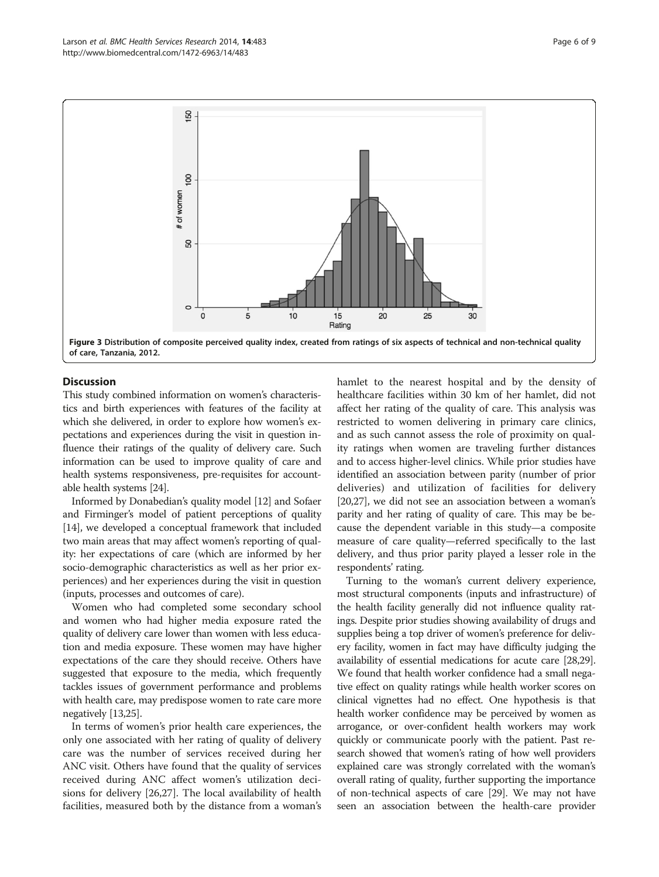<span id="page-5-0"></span>

#### **Discussion**

This study combined information on women's characteristics and birth experiences with features of the facility at which she delivered, in order to explore how women's expectations and experiences during the visit in question influence their ratings of the quality of delivery care. Such information can be used to improve quality of care and health systems responsiveness, pre-requisites for accountable health systems [\[24\]](#page-8-0).

Informed by Donabedian's quality model [[12](#page-7-0)] and Sofaer and Firminger's model of patient perceptions of quality [[14](#page-7-0)], we developed a conceptual framework that included two main areas that may affect women's reporting of quality: her expectations of care (which are informed by her socio-demographic characteristics as well as her prior experiences) and her experiences during the visit in question (inputs, processes and outcomes of care).

Women who had completed some secondary school and women who had higher media exposure rated the quality of delivery care lower than women with less education and media exposure. These women may have higher expectations of the care they should receive. Others have suggested that exposure to the media, which frequently tackles issues of government performance and problems with health care, may predispose women to rate care more negatively [[13,](#page-7-0)[25](#page-8-0)].

In terms of women's prior health care experiences, the only one associated with her rating of quality of delivery care was the number of services received during her ANC visit. Others have found that the quality of services received during ANC affect women's utilization decisions for delivery [\[26,27](#page-8-0)]. The local availability of health facilities, measured both by the distance from a woman's hamlet to the nearest hospital and by the density of healthcare facilities within 30 km of her hamlet, did not affect her rating of the quality of care. This analysis was restricted to women delivering in primary care clinics, and as such cannot assess the role of proximity on quality ratings when women are traveling further distances and to access higher-level clinics. While prior studies have identified an association between parity (number of prior deliveries) and utilization of facilities for delivery [[20](#page-7-0)[,27](#page-8-0)], we did not see an association between a woman's parity and her rating of quality of care. This may be because the dependent variable in this study—a composite measure of care quality—referred specifically to the last delivery, and thus prior parity played a lesser role in the respondents' rating.

Turning to the woman's current delivery experience, most structural components (inputs and infrastructure) of the health facility generally did not influence quality ratings. Despite prior studies showing availability of drugs and supplies being a top driver of women's preference for delivery facility, women in fact may have difficulty judging the availability of essential medications for acute care [\[28,29](#page-8-0)]. We found that health worker confidence had a small negative effect on quality ratings while health worker scores on clinical vignettes had no effect. One hypothesis is that health worker confidence may be perceived by women as arrogance, or over-confident health workers may work quickly or communicate poorly with the patient. Past research showed that women's rating of how well providers explained care was strongly correlated with the woman's overall rating of quality, further supporting the importance of non-technical aspects of care [\[29\]](#page-8-0). We may not have seen an association between the health-care provider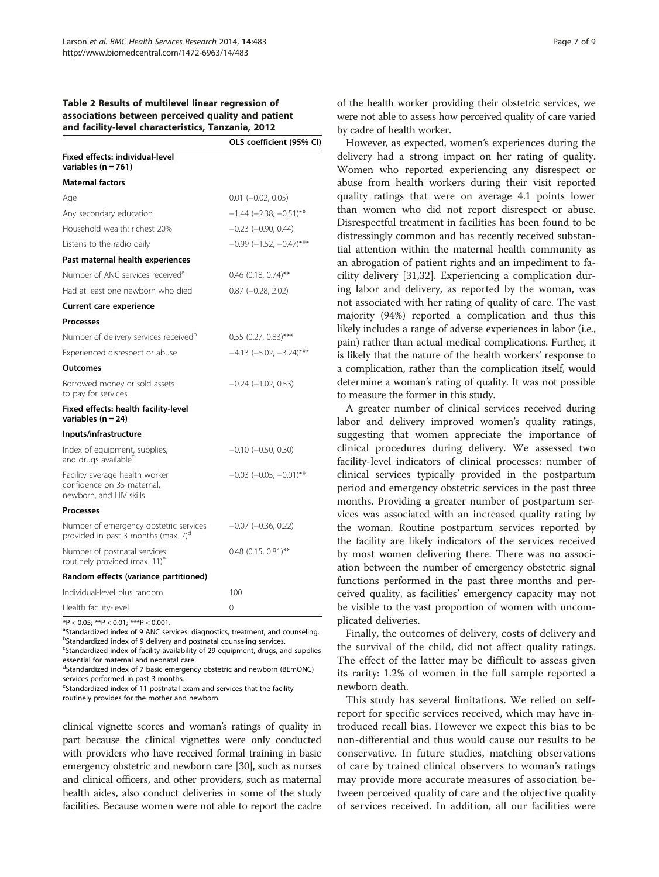#### <span id="page-6-0"></span>Table 2 Results of multilevel linear regression of associations between perceived quality and patient and facility-level characteristics, Tanzania, 2012

|                                                                                         | OLS coefficient (95% CI)         |
|-----------------------------------------------------------------------------------------|----------------------------------|
| <b>Fixed effects: individual-level</b><br>variables $(n = 761)$                         |                                  |
| <b>Maternal factors</b>                                                                 |                                  |
| Age                                                                                     | $0.01$ ( $-0.02$ , $0.05$ )      |
| Any secondary education                                                                 | $-1.44$ (-2.38, -0.51)**         |
| Household wealth: richest 20%                                                           | $-0.23$ $(-0.90, 0.44)$          |
| Listens to the radio daily                                                              | $-0.99$ (-1.52, -0.47)***        |
| Past maternal health experiences                                                        |                                  |
| Number of ANC services received <sup>a</sup>                                            | $0.46$ (0.18, 0.74)**            |
| Had at least one newborn who died                                                       | $0.87$ ( $-0.28$ , $2.02$ )      |
| <b>Current care experience</b>                                                          |                                  |
| <b>Processes</b>                                                                        |                                  |
| Number of delivery services received <sup>b</sup>                                       | 0.55 (0.27, 0.83)***             |
| Experienced disrespect or abuse                                                         | $-4.13$ ( $-5.02$ , $-3.24$ )*** |
| <b>Outcomes</b>                                                                         |                                  |
| Borrowed money or sold assets<br>to pay for services                                    | $-0.24$ $(-1.02, 0.53)$          |
| Fixed effects: health facility-level<br>variables $(n = 24)$                            |                                  |
| Inputs/infrastructure                                                                   |                                  |
| Index of equipment, supplies,<br>and drugs available <sup>c</sup>                       | $-0.10$ $(-0.50, 0.30)$          |
| Facility average health worker<br>confidence on 35 maternal,<br>newborn, and HIV skills | $-0.03$ $(-0.05, -0.01)$ **      |
| <b>Processes</b>                                                                        |                                  |
| Number of emergency obstetric services<br>provided in past 3 months (max. $7)^d$        | $-0.07$ ( $-0.36$ , 0.22)        |
| Number of postnatal services<br>routinely provided (max. 11) <sup>e</sup>               | $0.48$ (0.15, 0.81)**            |
| Random effects (variance partitioned)                                                   |                                  |
| Individual-level plus random                                                            | 100                              |
| Health facility-level                                                                   | 0                                |
| $*D > 0.05$ $*D > 0.01$ $*F/D > 0.001$                                                  |                                  |

\*P < 0.05; \*\*P < 0.01; \*\*\*P < 0.001.

<sup>a</sup>Standardized index of 9 ANC services: diagnostics, treatment, and counseling. <sup>b</sup>Standardized index of 9 delivery and postnatal counseling services.

<sup>c</sup>Standardized index of facility availability of 29 equipment, drugs, and supplies essential for maternal and neonatal care.

<sup>d</sup>Standardized index of 7 basic emergency obstetric and newborn (BEmONC) services performed in past 3 months.

<sup>e</sup>Standardized index of 11 postnatal exam and services that the facility

routinely provides for the mother and newborn.

clinical vignette scores and woman's ratings of quality in part because the clinical vignettes were only conducted with providers who have received formal training in basic emergency obstetric and newborn care [\[30](#page-8-0)], such as nurses and clinical officers, and other providers, such as maternal health aides, also conduct deliveries in some of the study facilities. Because women were not able to report the cadre

of the health worker providing their obstetric services, we were not able to assess how perceived quality of care varied by cadre of health worker.

However, as expected, women's experiences during the delivery had a strong impact on her rating of quality. Women who reported experiencing any disrespect or abuse from health workers during their visit reported quality ratings that were on average 4.1 points lower than women who did not report disrespect or abuse. Disrespectful treatment in facilities has been found to be distressingly common and has recently received substantial attention within the maternal health community as an abrogation of patient rights and an impediment to facility delivery [\[31,32\]](#page-8-0). Experiencing a complication during labor and delivery, as reported by the woman, was not associated with her rating of quality of care. The vast majority (94%) reported a complication and thus this likely includes a range of adverse experiences in labor (i.e., pain) rather than actual medical complications. Further, it is likely that the nature of the health workers' response to a complication, rather than the complication itself, would determine a woman's rating of quality. It was not possible to measure the former in this study.

A greater number of clinical services received during labor and delivery improved women's quality ratings, suggesting that women appreciate the importance of clinical procedures during delivery. We assessed two facility-level indicators of clinical processes: number of clinical services typically provided in the postpartum period and emergency obstetric services in the past three months. Providing a greater number of postpartum services was associated with an increased quality rating by the woman. Routine postpartum services reported by the facility are likely indicators of the services received by most women delivering there. There was no association between the number of emergency obstetric signal functions performed in the past three months and perceived quality, as facilities' emergency capacity may not be visible to the vast proportion of women with uncomplicated deliveries.

Finally, the outcomes of delivery, costs of delivery and the survival of the child, did not affect quality ratings. The effect of the latter may be difficult to assess given its rarity: 1.2% of women in the full sample reported a newborn death.

This study has several limitations. We relied on selfreport for specific services received, which may have introduced recall bias. However we expect this bias to be non-differential and thus would cause our results to be conservative. In future studies, matching observations of care by trained clinical observers to woman's ratings may provide more accurate measures of association between perceived quality of care and the objective quality of services received. In addition, all our facilities were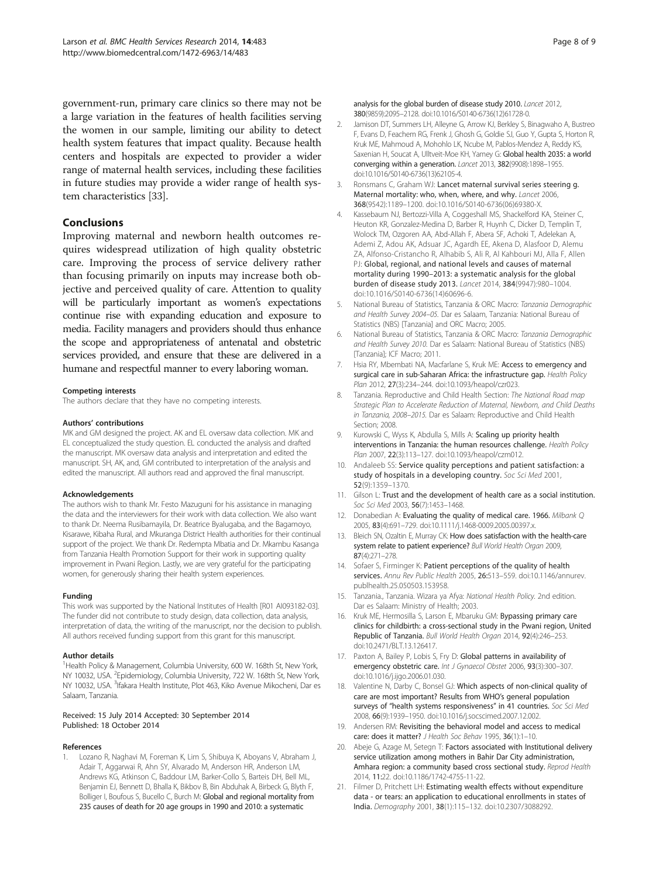<span id="page-7-0"></span>government-run, primary care clinics so there may not be a large variation in the features of health facilities serving the women in our sample, limiting our ability to detect health system features that impact quality. Because health centers and hospitals are expected to provider a wider range of maternal health services, including these facilities in future studies may provide a wider range of health system characteristics [\[33\]](#page-8-0).

# Conclusions

Improving maternal and newborn health outcomes requires widespread utilization of high quality obstetric care. Improving the process of service delivery rather than focusing primarily on inputs may increase both objective and perceived quality of care. Attention to quality will be particularly important as women's expectations continue rise with expanding education and exposure to media. Facility managers and providers should thus enhance the scope and appropriateness of antenatal and obstetric services provided, and ensure that these are delivered in a humane and respectful manner to every laboring woman.

#### Competing interests

The authors declare that they have no competing interests.

#### Authors' contributions

MK and GM designed the project. AK and EL oversaw data collection. MK and EL conceptualized the study question. EL conducted the analysis and drafted the manuscript. MK oversaw data analysis and interpretation and edited the manuscript. SH, AK, and, GM contributed to interpretation of the analysis and edited the manuscript. All authors read and approved the final manuscript.

#### Acknowledgements

The authors wish to thank Mr. Festo Mazuguni for his assistance in managing the data and the interviewers for their work with data collection. We also want to thank Dr. Neema Rusibamayila, Dr. Beatrice Byalugaba, and the Bagamoyo, Kisarawe, Kibaha Rural, and Mkuranga District Health authorities for their continual support of the project. We thank Dr. Redempta Mbatia and Dr. Mkambu Kasanga from Tanzania Health Promotion Support for their work in supporting quality improvement in Pwani Region. Lastly, we are very grateful for the participating women, for generously sharing their health system experiences.

#### Funding

This work was supported by the National Institutes of Health [R01 AI093182-03]. The funder did not contribute to study design, data collection, data analysis, interpretation of data, the writing of the manuscript, nor the decision to publish. All authors received funding support from this grant for this manuscript.

#### Author details

<sup>1</sup> Health Policy & Management, Columbia University, 600 W. 168th St, New York, NY 10032, USA. <sup>2</sup>Epidemiology, Columbia University, 722 W. 168th St, New York, NY 10032, USA. <sup>3</sup>Ifakara Health Institute, Plot 463, Kiko Avenue Mikocheni, Dar es Salaam, Tanzania.

#### Received: 15 July 2014 Accepted: 30 September 2014 Published: 18 October 2014

#### References

Lozano R, Naghavi M, Foreman K, Lim S, Shibuya K, Aboyans V, Abraham J, Adair T, Aggarwai R, Ahn SY, Alvarado M, Anderson HR, Anderson LM, Andrews KG, Atkinson C, Baddour LM, Barker-Collo S, Barteis DH, Bell ML, Benjamin EJ, Bennett D, Bhalla K, Bikbov B, Bin Abduhak A, Birbeck G, Blyth F, Bolliger I, Boufous S, Bucello C, Burch M: Global and regional mortality from 235 causes of death for 20 age groups in 1990 and 2010: a systematic

analysis for the global burden of disease study 2010. Lancet 2012, 380(9859):2095–2128. doi:10.1016/S0140-6736(12)61728-0.

- 2. Jamison DT, Summers LH, Alleyne G, Arrow KJ, Berkley S, Binagwaho A, Bustreo F, Evans D, Feachem RG, Frenk J, Ghosh G, Goldie SJ, Guo Y, Gupta S, Horton R, Kruk ME, Mahmoud A, Mohohlo LK, Ncube M, Pablos-Mendez A, Reddy KS, Saxenian H, Soucat A, Ulltveit-Moe KH, Yamey G: Global health 2035: a world converging within a generation. Lancet 2013, 382(9908):1898–1955. doi:10.1016/S0140-6736(13)62105-4.
- 3. Ronsmans C, Graham WJ: Lancet maternal survival series steering g. Maternal mortality: who, when, where, and why. Lancet 2006, 368(9542):1189–1200. doi:10.1016/S0140-6736(06)69380-X.
- 4. Kassebaum NJ, Bertozzi-Villa A, Coggeshall MS, Shackelford KA, Steiner C, Heuton KR, Gonzalez-Medina D, Barber R, Huynh C, Dicker D, Templin T, Wolock TM, Ozgoren AA, Abd-Allah F, Abera SF, Achoki T, Adelekan A, Ademi Z, Adou AK, Adsuar JC, Agardh EE, Akena D, Alasfoor D, Alemu ZA, Alfonso-Cristancho R, Alhabib S, Ali R, Al Kahbouri MJ, Alla F, Allen PJ: Global, regional, and national levels and causes of maternal mortality during 1990–2013: a systematic analysis for the global burden of disease study 2013. Lancet 2014, 384(9947):980–1004. doi:10.1016/S0140-6736(14)60696-6.
- 5. National Bureau of Statistics, Tanzania & ORC Macro: Tanzania Demographic and Health Survey 2004–05. Dar es Salaam, Tanzania: National Bureau of Statistics (NBS) [Tanzania] and ORC Macro; 2005.
- 6. National Bureau of Statistics, Tanzania & ORC Macro: Tanzania Demographic and Health Survey 2010. Dar es Salaam: National Bureau of Statistics (NBS) [Tanzania]; ICF Macro; 2011.
- 7. Hsia RY, Mbembati NA, Macfarlane S, Kruk ME: Access to emergency and surgical care in sub-Saharan Africa: the infrastructure gap. Health Policy Plan 2012, 27(3):234–244. doi:10.1093/heapol/czr023.
- 8. Tanzania. Reproductive and Child Health Section: The National Road map Strategic Plan to Accelerate Reduction of Maternal, Newborn, and Child Deaths in Tanzania, 2008–2015. Dar es Salaam: Reproductive and Child Health Section; 2008.
- 9. Kurowski C, Wyss K, Abdulla S, Mills A: Scaling up priority health interventions in Tanzania: the human resources challenge. Health Policy Plan 2007, 22(3):113–127. doi:10.1093/heapol/czm012.
- 10. Andaleeb SS: Service quality perceptions and patient satisfaction: a study of hospitals in a developing country. Soc Sci Med 2001, 52(9):1359–1370.
- 11. Gilson L: Trust and the development of health care as a social institution. Soc Sci Med 2003, 56(7):1453-1468.
- 12. Donabedian A: Evaluating the quality of medical care. 1966. Milbank Q 2005, 83(4):691–729. doi:10.1111/j.1468-0009.2005.00397.x.
- 13. Bleich SN, Ozaltin E, Murray CK: How does satisfaction with the health-care system relate to patient experience? Bull World Health Organ 2009, 87(4):271–278.
- 14. Sofaer S, Firminger K: Patient perceptions of the quality of health services. Annu Rev Public Health 2005, 26:513-559. doi:10.1146/annurev. publhealth.25.050503.153958.
- 15. Tanzania., Tanzania. Wizara ya Afya: National Health Policy. 2nd edition. Dar es Salaam: Ministry of Health; 2003.
- 16. Kruk ME, Hermosilla S, Larson E, Mbaruku GM: Bypassing primary care clinics for childbirth: a cross-sectional study in the Pwani region, United Republic of Tanzania. Bull World Health Organ 2014, 92(4):246–253. doi:10.2471/BLT.13.126417.
- 17. Paxton A, Bailey P, Lobis S, Fry D: Global patterns in availability of emergency obstetric care. Int J Gynaecol Obstet 2006, 93(3):300-307. doi:10.1016/j.ijgo.2006.01.030.
- 18. Valentine N, Darby C, Bonsel GJ: Which aspects of non-clinical quality of care are most important? Results from WHO's general population surveys of "health systems responsiveness" in 41 countries. Soc Sci Med 2008, 66(9):1939–1950. doi:10.1016/j.socscimed.2007.12.002.
- 19. Andersen RM: Revisiting the behavioral model and access to medical care: does it matter? J Health Soc Behav 1995, 36(1):1-10.
- 20. Abeje G, Azage M, Setegn T: Factors associated with Institutional delivery service utilization among mothers in Bahir Dar City administration, Amhara region: a community based cross sectional study. Reprod Health 2014, 11:22. doi:10.1186/1742-4755-11-22.
- 21. Filmer D, Pritchett LH: Estimating wealth effects without expenditure data - or tears: an application to educational enrollments in states of India. Demography 2001, 38(1):115–132. doi:10.2307/3088292.